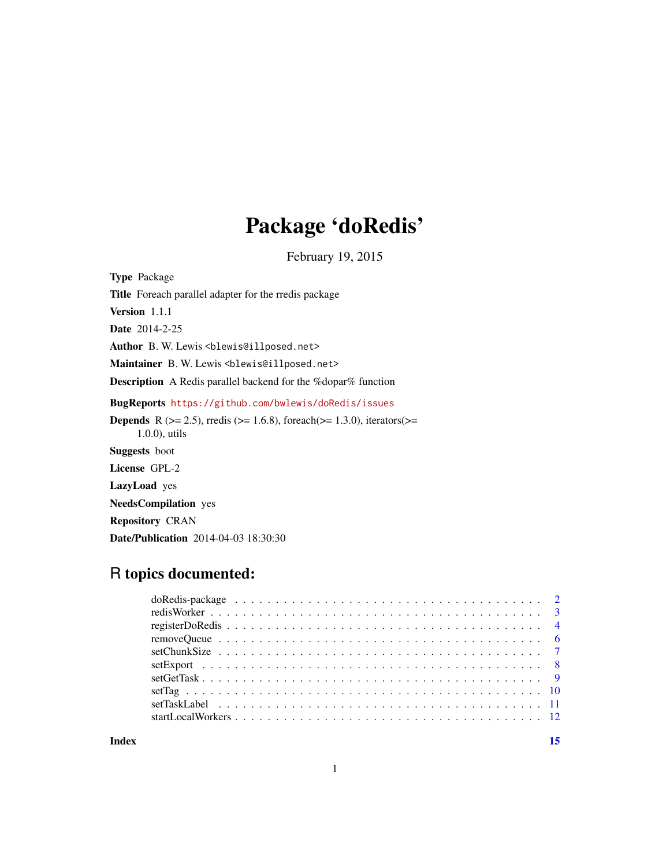## Package 'doRedis'

February 19, 2015

<span id="page-0-0"></span>Type Package Title Foreach parallel adapter for the rredis package Version 1.1.1 Date 2014-2-25 Author B. W. Lewis <br/>blewis@illposed.net> Maintainer B. W. Lewis <blewis@illposed.net> Description A Redis parallel backend for the %dopar% function BugReports <https://github.com/bwlewis/doRedis/issues> **Depends** R ( $>= 2.5$ ), rredis ( $>= 1.6.8$ ), foreach( $>= 1.3.0$ ), iterators( $>= 1.3.0$ ) 1.0.0), utils Suggests boot License GPL-2 LazyLoad yes NeedsCompilation yes Repository CRAN Date/Publication 2014-04-03 18:30:30

## R topics documented:

**Index** [15](#page-14-0)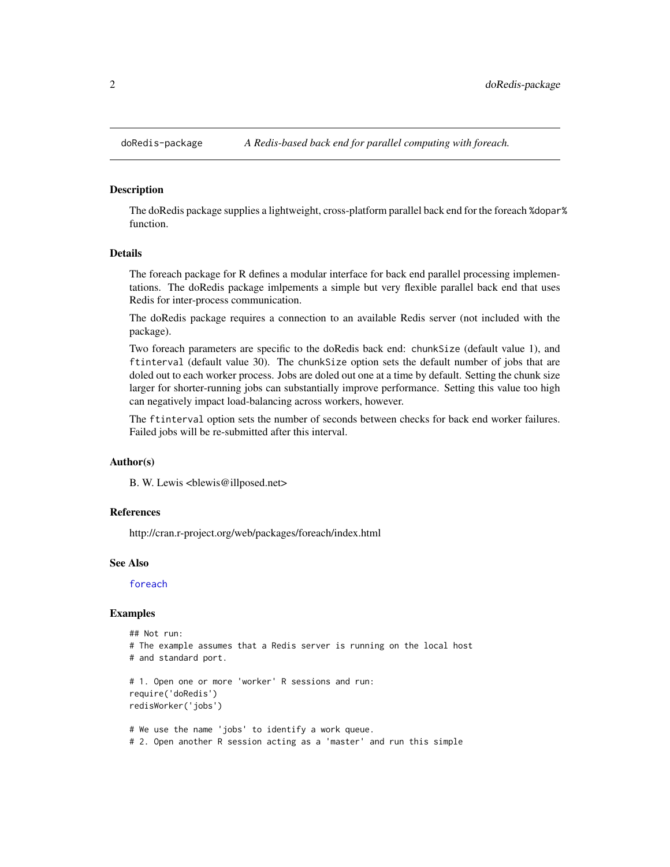<span id="page-1-0"></span>

#### Description

The doRedis package supplies a lightweight, cross-platform parallel back end for the foreach %dopar% function.

### Details

The foreach package for R defines a modular interface for back end parallel processing implementations. The doRedis package imlpements a simple but very flexible parallel back end that uses Redis for inter-process communication.

The doRedis package requires a connection to an available Redis server (not included with the package).

Two foreach parameters are specific to the doRedis back end: chunkSize (default value 1), and ftinterval (default value 30). The chunkSize option sets the default number of jobs that are doled out to each worker process. Jobs are doled out one at a time by default. Setting the chunk size larger for shorter-running jobs can substantially improve performance. Setting this value too high can negatively impact load-balancing across workers, however.

The ftinterval option sets the number of seconds between checks for back end worker failures. Failed jobs will be re-submitted after this interval.

#### Author(s)

B. W. Lewis <br/>blewis@illposed.net>

## References

http://cran.r-project.org/web/packages/foreach/index.html

#### See Also

[foreach](#page-0-0)

#### Examples

```
## Not run:
# The example assumes that a Redis server is running on the local host
# and standard port.
# 1. Open one or more 'worker' R sessions and run:
require('doRedis')
redisWorker('jobs')
# We use the name 'jobs' to identify a work queue.
# 2. Open another R session acting as a 'master' and run this simple
```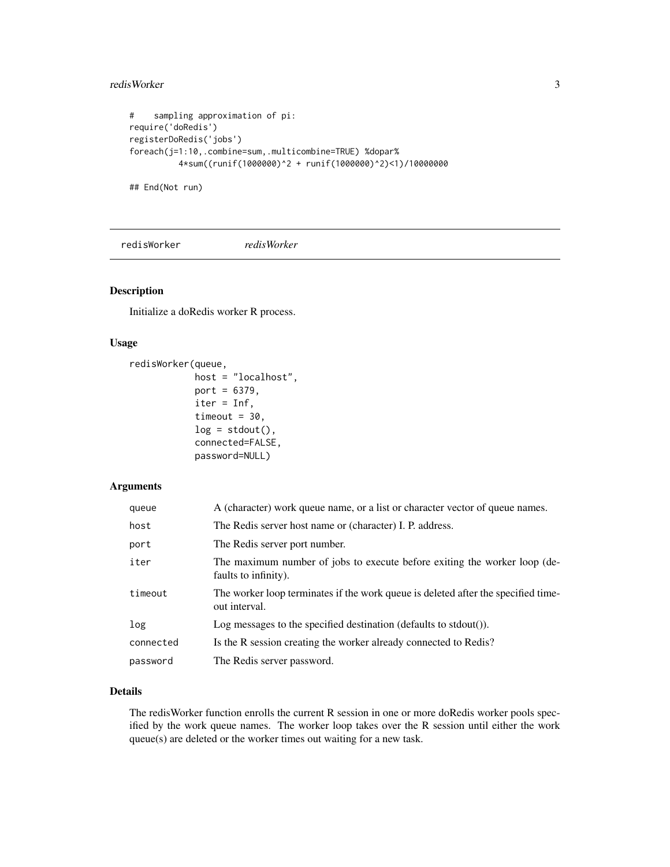#### <span id="page-2-0"></span>redisWorker 3

```
# sampling approximation of pi:
require('doRedis')
registerDoRedis('jobs')
foreach(j=1:10,.combine=sum,.multicombine=TRUE) %dopar%
         4*sum((runif(1000000)^2 + runif(1000000)^2)<1)/10000000
```
## End(Not run)

<span id="page-2-1"></span>redisWorker *redisWorker*

## Description

Initialize a doRedis worker R process.

## Usage

```
redisWorker(queue,
            host = "localhost",
            port = 6379,
            iter = Inf,
            timeout = 30,
            log = stdout(),connected=FALSE,
            password=NULL)
```
## Arguments

| queue     | A (character) work queue name, or a list or character vector of queue names.                       |
|-----------|----------------------------------------------------------------------------------------------------|
| host      | The Redis server host name or (character) I. P. address.                                           |
| port      | The Redis server port number.                                                                      |
| iter      | The maximum number of jobs to execute before exiting the worker loop (de-<br>faults to infinity).  |
| timeout   | The worker loop terminates if the work queue is deleted after the specified time-<br>out interval. |
| log       | Log messages to the specified destination (defaults to stdout()).                                  |
| connected | Is the R session creating the worker already connected to Redis?                                   |
| password  | The Redis server password.                                                                         |

## Details

The redisWorker function enrolls the current R session in one or more doRedis worker pools specified by the work queue names. The worker loop takes over the R session until either the work queue(s) are deleted or the worker times out waiting for a new task.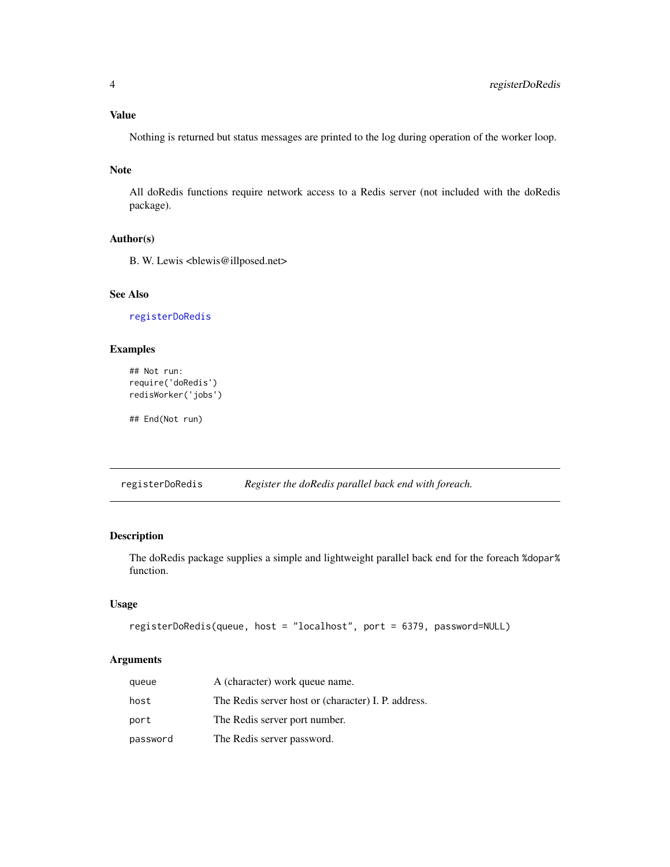<span id="page-3-0"></span>Nothing is returned but status messages are printed to the log during operation of the worker loop.

## Note

All doRedis functions require network access to a Redis server (not included with the doRedis package).

## Author(s)

B. W. Lewis <br/> <br/>blewis@illposed.net>

## See Also

[registerDoRedis](#page-3-1)

## Examples

```
## Not run:
require('doRedis')
redisWorker('jobs')
```
## End(Not run)

<span id="page-3-1"></span>registerDoRedis *Register the doRedis parallel back end with foreach.*

## Description

The doRedis package supplies a simple and lightweight parallel back end for the foreach %dopar% function.

## Usage

```
registerDoRedis(queue, host = "localhost", port = 6379, password=NULL)
```
## Arguments

| queue    | A (character) work queue name.                      |
|----------|-----------------------------------------------------|
| host     | The Redis server host or (character) I. P. address. |
| port     | The Redis server port number.                       |
| password | The Redis server password.                          |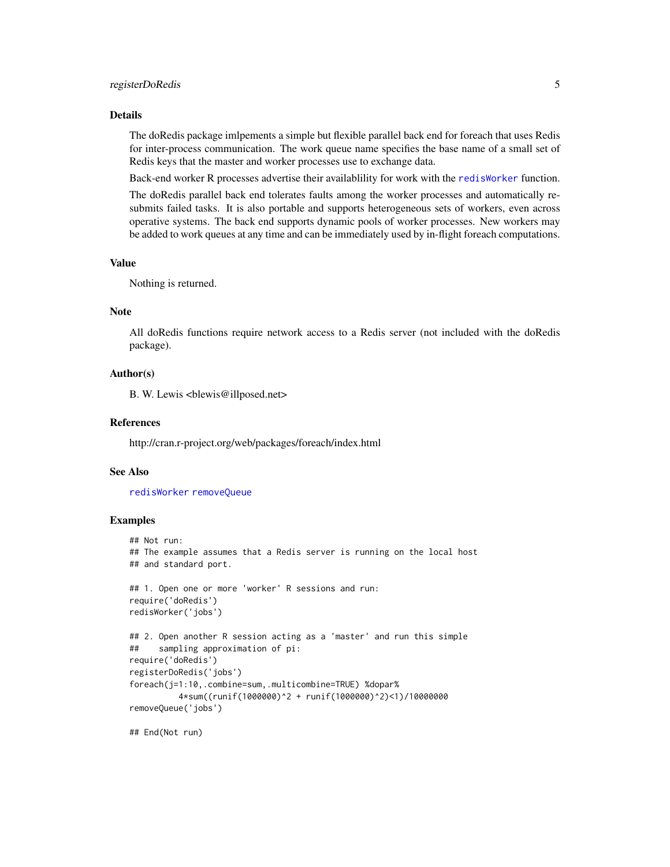#### <span id="page-4-0"></span>Details

The doRedis package imlpements a simple but flexible parallel back end for foreach that uses Redis for inter-process communication. The work queue name specifies the base name of a small set of Redis keys that the master and worker processes use to exchange data.

Back-end worker R processes advertise their availablility for work with the [redisWorker](#page-2-1) function.

The doRedis parallel back end tolerates faults among the worker processes and automatically resubmits failed tasks. It is also portable and supports heterogeneous sets of workers, even across operative systems. The back end supports dynamic pools of worker processes. New workers may be added to work queues at any time and can be immediately used by in-flight foreach computations.

#### Value

Nothing is returned.

#### **Note**

All doRedis functions require network access to a Redis server (not included with the doRedis package).

#### Author(s)

B. W. Lewis <br/> <br/>blewis@illposed.net>

## References

http://cran.r-project.org/web/packages/foreach/index.html

#### See Also

[redisWorker](#page-2-1) [removeQueue](#page-5-1)

#### Examples

```
## Not run:
## The example assumes that a Redis server is running on the local host
## and standard port.
## 1. Open one or more 'worker' R sessions and run:
require('doRedis')
redisWorker('jobs')
## 2. Open another R session acting as a 'master' and run this simple
## sampling approximation of pi:
require('doRedis')
registerDoRedis('jobs')
foreach(j=1:10,.combine=sum,.multicombine=TRUE) %dopar%
          4*sum((runif(1000000)^2 + runif(1000000)^2)<1)/10000000
removeQueue('jobs')
```
## End(Not run)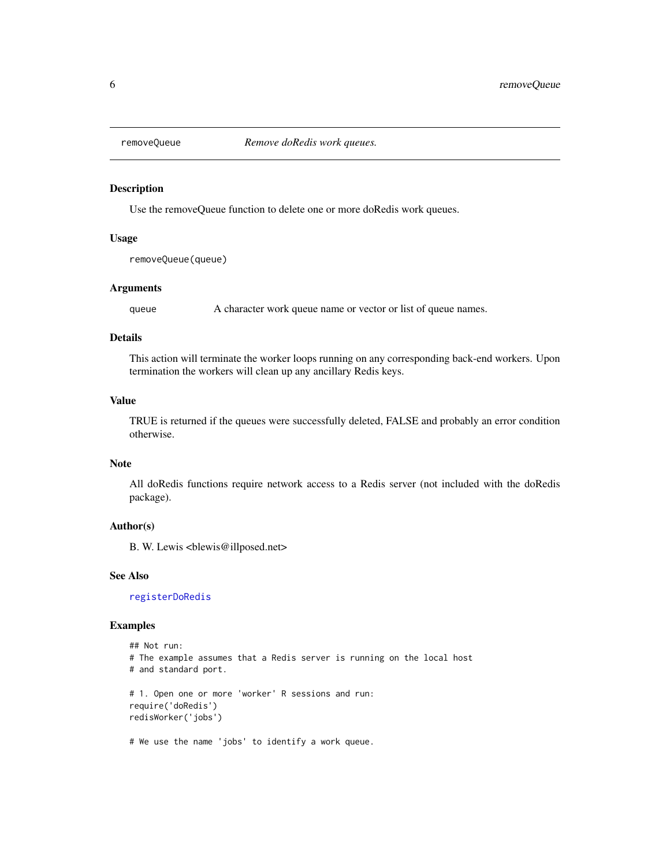<span id="page-5-1"></span><span id="page-5-0"></span>

## Description

Use the removeQueue function to delete one or more doRedis work queues.

#### Usage

removeQueue(queue)

## Arguments

queue A character work queue name or vector or list of queue names.

## Details

This action will terminate the worker loops running on any corresponding back-end workers. Upon termination the workers will clean up any ancillary Redis keys.

## Value

TRUE is returned if the queues were successfully deleted, FALSE and probably an error condition otherwise.

## Note

All doRedis functions require network access to a Redis server (not included with the doRedis package).

#### Author(s)

B. W. Lewis <br/> <br/>blewis@illposed.net>

#### See Also

[registerDoRedis](#page-3-1)

#### Examples

```
## Not run:
# The example assumes that a Redis server is running on the local host
# and standard port.
# 1. Open one or more 'worker' R sessions and run:
require('doRedis')
redisWorker('jobs')
```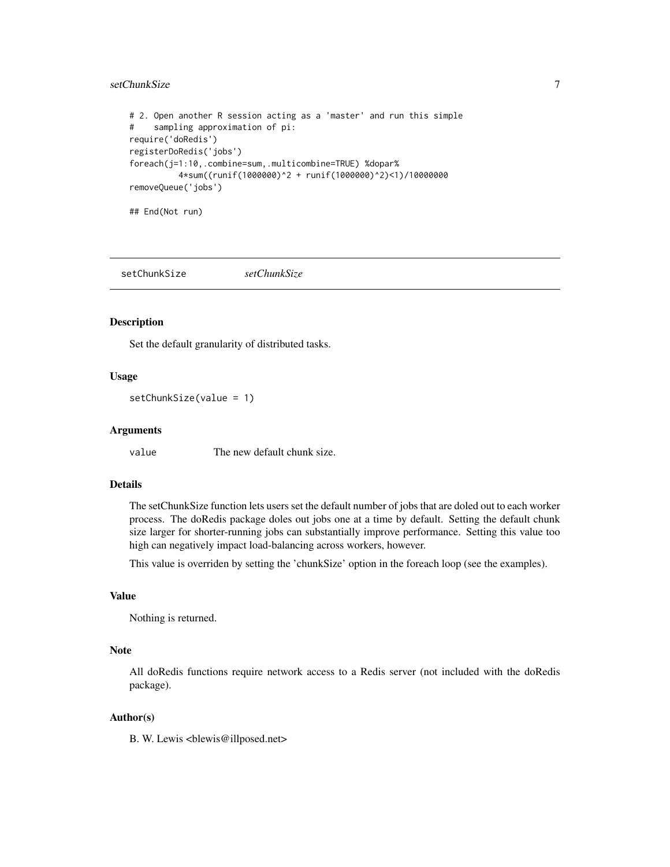## <span id="page-6-0"></span>setChunkSize 7

```
# 2. Open another R session acting as a 'master' and run this simple
# sampling approximation of pi:
require('doRedis')
registerDoRedis('jobs')
foreach(j=1:10,.combine=sum,.multicombine=TRUE) %dopar%
          4*sum((runif(1000000)^2 + runif(1000000)^2)<1)/10000000
removeQueue('jobs')
```
## End(Not run)

setChunkSize *setChunkSize*

#### Description

Set the default granularity of distributed tasks.

## Usage

setChunkSize(value = 1)

#### Arguments

value The new default chunk size.

## Details

The setChunkSize function lets users set the default number of jobs that are doled out to each worker process. The doRedis package doles out jobs one at a time by default. Setting the default chunk size larger for shorter-running jobs can substantially improve performance. Setting this value too high can negatively impact load-balancing across workers, however.

This value is overriden by setting the 'chunkSize' option in the foreach loop (see the examples).

## Value

Nothing is returned.

#### Note

All doRedis functions require network access to a Redis server (not included with the doRedis package).

## Author(s)

B. W. Lewis <br/> <br/>blewis@illposed.net>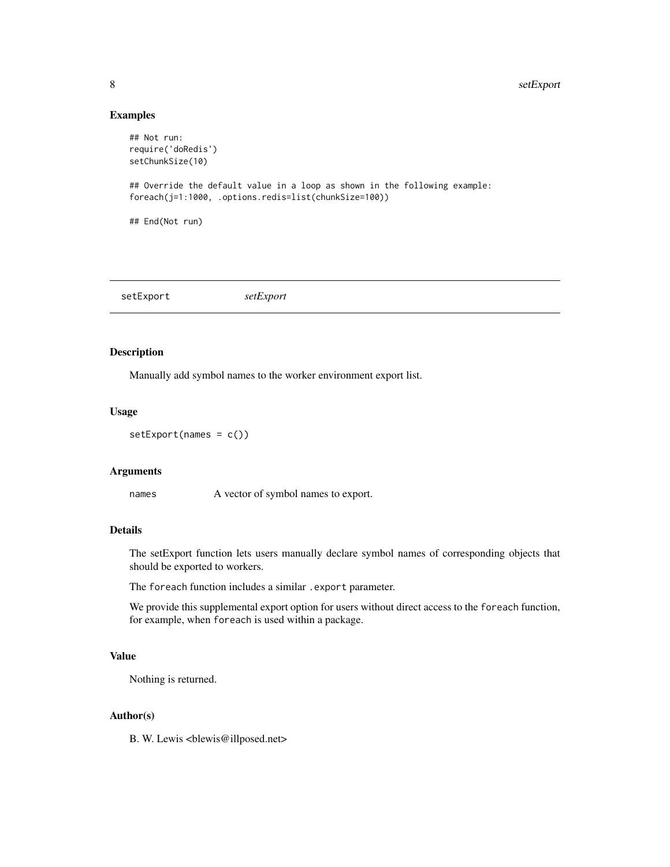## Examples

```
## Not run:
require('doRedis')
setChunkSize(10)
## Override the default value in a loop as shown in the following example:
foreach(j=1:1000, .options.redis=list(chunkSize=100))
## End(Not run)
```
setExport *setExport*

## Description

Manually add symbol names to the worker environment export list.

#### Usage

setExport(names = c())

#### Arguments

names A vector of symbol names to export.

## Details

The setExport function lets users manually declare symbol names of corresponding objects that should be exported to workers.

The foreach function includes a similar . export parameter.

We provide this supplemental export option for users without direct access to the foreach function, for example, when foreach is used within a package.

## Value

Nothing is returned.

## Author(s)

B. W. Lewis <br/> <br/>blewis@illposed.net>

<span id="page-7-0"></span>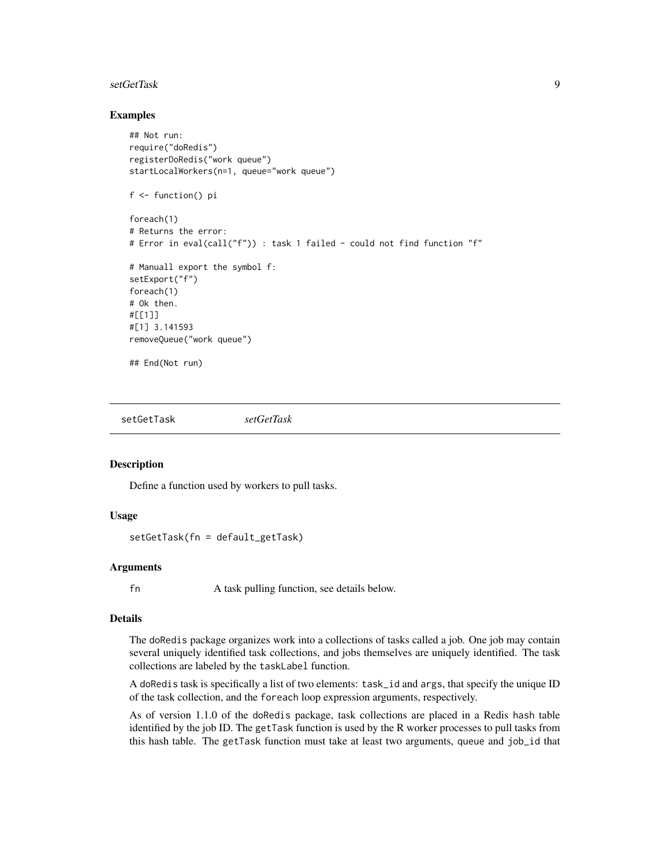#### <span id="page-8-0"></span>setGetTask 9

#### Examples

```
## Not run:
require("doRedis")
registerDoRedis("work queue")
startLocalWorkers(n=1, queue="work queue")
f <- function() pi
foreach(1)
# Returns the error:
# Error in eval(call("f")) : task 1 failed - could not find function "f"
# Manuall export the symbol f:
setExport("f")
foreach(1)
# Ok then.
#[[1]]
#[1] 3.141593
removeQueue("work queue")
## End(Not run)
```
setGetTask *setGetTask*

#### **Description**

Define a function used by workers to pull tasks.

#### Usage

```
setGetTask(fn = default_getTask)
```
## **Arguments**

fn A task pulling function, see details below.

#### Details

The doRedis package organizes work into a collections of tasks called a job. One job may contain several uniquely identified task collections, and jobs themselves are uniquely identified. The task collections are labeled by the taskLabel function.

A doRedis task is specifically a list of two elements: task\_id and args, that specify the unique ID of the task collection, and the foreach loop expression arguments, respectively.

As of version 1.1.0 of the doRedis package, task collections are placed in a Redis hash table identified by the job ID. The getTask function is used by the R worker processes to pull tasks from this hash table. The getTask function must take at least two arguments, queue and job\_id that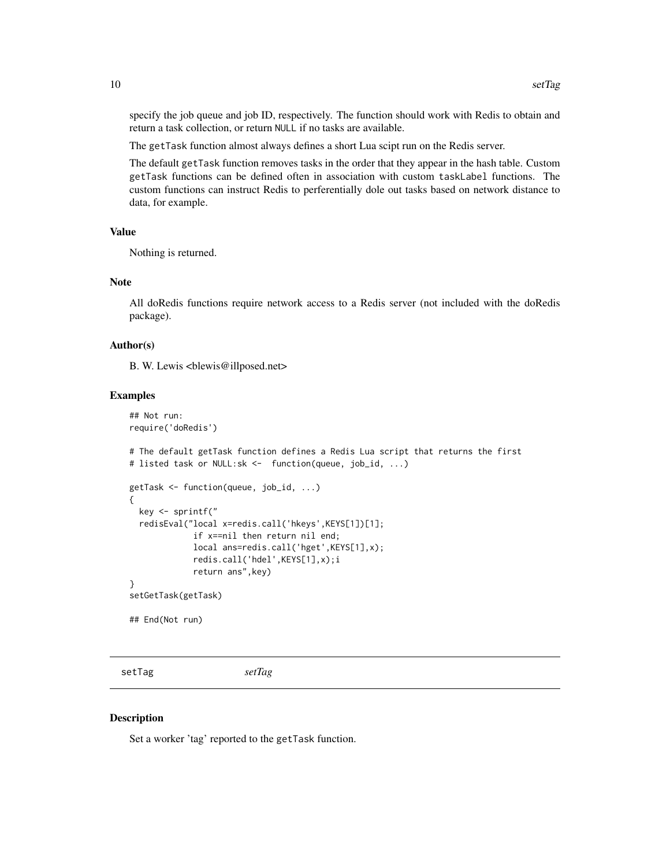<span id="page-9-0"></span>specify the job queue and job ID, respectively. The function should work with Redis to obtain and return a task collection, or return NULL if no tasks are available.

The getTask function almost always defines a short Lua scipt run on the Redis server.

The default getTask function removes tasks in the order that they appear in the hash table. Custom getTask functions can be defined often in association with custom taskLabel functions. The custom functions can instruct Redis to perferentially dole out tasks based on network distance to data, for example.

## Value

Nothing is returned.

#### Note

All doRedis functions require network access to a Redis server (not included with the doRedis package).

#### Author(s)

B. W. Lewis <br/> <br/>blewis@illposed.net>

#### Examples

```
## Not run:
require('doRedis')
# The default getTask function defines a Redis Lua script that returns the first
# listed task or NULL:sk <- function(queue, job_id, ...)
getTask <- function(queue, job_id, ...)
{
 key <- sprintf("
 redisEval("local x=redis.call('hkeys',KEYS[1])[1];
             if x==nil then return nil end;
             local ans=redis.call('hget',KEYS[1],x);
             redis.call('hdel',KEYS[1],x);i
             return ans",key)
}
setGetTask(getTask)
## End(Not run)
```
setTag *setTag*

#### **Description**

Set a worker 'tag' reported to the getTask function.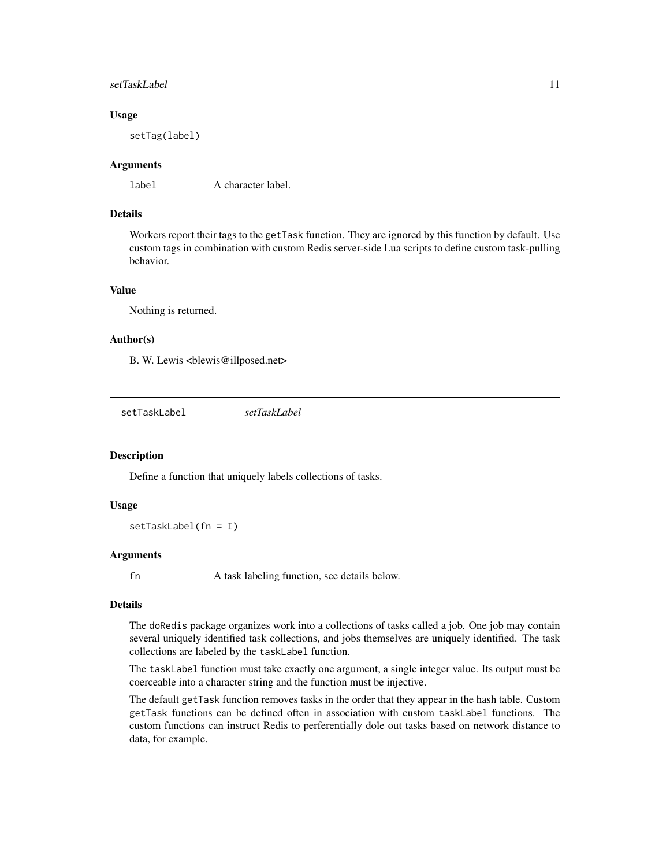#### <span id="page-10-0"></span>setTaskLabel 11

#### Usage

setTag(label)

## Arguments

label A character label.

#### Details

Workers report their tags to the getTask function. They are ignored by this function by default. Use custom tags in combination with custom Redis server-side Lua scripts to define custom task-pulling behavior.

## Value

Nothing is returned.

#### Author(s)

B. W. Lewis <br/> <br/>blewis@illposed.net>

setTaskLabel *setTaskLabel*

#### Description

Define a function that uniquely labels collections of tasks.

#### Usage

setTaskLabel(fn = I)

## Arguments

fn A task labeling function, see details below.

## **Details**

The doRedis package organizes work into a collections of tasks called a job. One job may contain several uniquely identified task collections, and jobs themselves are uniquely identified. The task collections are labeled by the taskLabel function.

The taskLabel function must take exactly one argument, a single integer value. Its output must be coerceable into a character string and the function must be injective.

The default getTask function removes tasks in the order that they appear in the hash table. Custom getTask functions can be defined often in association with custom taskLabel functions. The custom functions can instruct Redis to perferentially dole out tasks based on network distance to data, for example.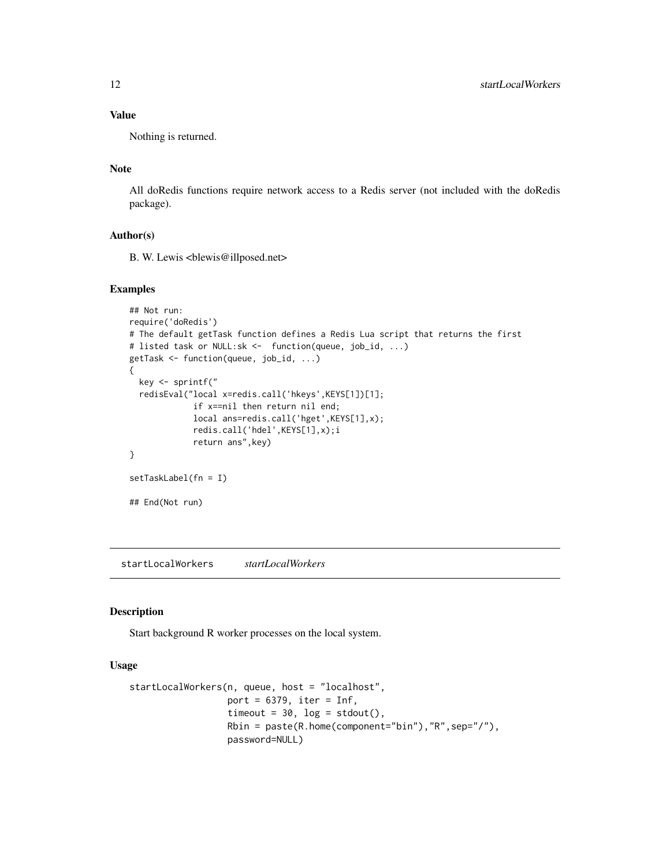## Value

Nothing is returned.

## Note

All doRedis functions require network access to a Redis server (not included with the doRedis package).

## Author(s)

B. W. Lewis <br/> <br/>blewis@illposed.net>

## Examples

```
## Not run:
require('doRedis')
# The default getTask function defines a Redis Lua script that returns the first
# listed task or NULL:sk <- function(queue, job_id, ...)
getTask <- function(queue, job_id, ...)
{
  key <- sprintf("
  redisEval("local x=redis.call('hkeys',KEYS[1])[1];
             if x==nil then return nil end;
             local ans=redis.call('hget',KEYS[1],x);
             redis.call('hdel',KEYS[1],x);i
             return ans",key)
}
setTaskLabel(fn = I)
## End(Not run)
```
startLocalWorkers *startLocalWorkers*

#### Description

Start background R worker processes on the local system.

## Usage

```
startLocalWorkers(n, queue, host = "localhost",
                  port = 6379, iter = Inf,
                  timeout = 30, log = stdout(),
                  Rbin = paste(R.home(component="bin"),"R",sep="/"),
                  password=NULL)
```
<span id="page-11-0"></span>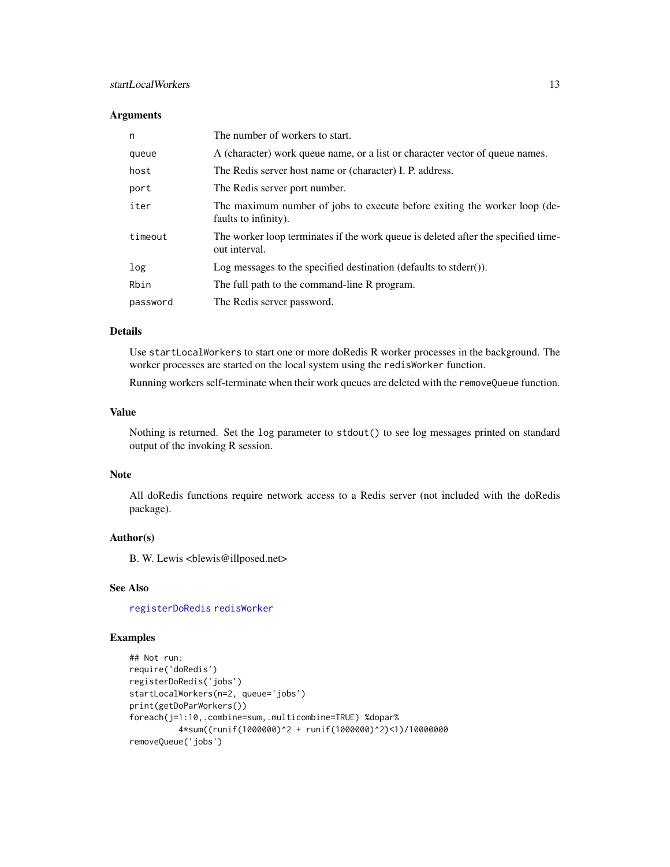## <span id="page-12-0"></span>startLocalWorkers 13

## Arguments

| n        | The number of workers to start.                                                                    |
|----------|----------------------------------------------------------------------------------------------------|
| queue    | A (character) work queue name, or a list or character vector of queue names.                       |
| host     | The Redis server host name or (character) I. P. address.                                           |
| port     | The Redis server port number.                                                                      |
| iter     | The maximum number of jobs to execute before exiting the worker loop (de-<br>faults to infinity).  |
| timeout  | The worker loop terminates if the work queue is deleted after the specified time-<br>out interval. |
| log      | Log messages to the specified destination (defaults to stderr()).                                  |
| Rbin     | The full path to the command-line R program.                                                       |
| password | The Redis server password.                                                                         |

## Details

Use startLocalWorkers to start one or more doRedis R worker processes in the background. The worker processes are started on the local system using the redisWorker function.

Running workers self-terminate when their work queues are deleted with the removeQueue function.

#### Value

Nothing is returned. Set the log parameter to stdout() to see log messages printed on standard output of the invoking R session.

## Note

All doRedis functions require network access to a Redis server (not included with the doRedis package).

## Author(s)

B. W. Lewis <br/> <br/>blewis@illposed.net>

## See Also

[registerDoRedis](#page-3-1) [redisWorker](#page-2-1)

## Examples

```
## Not run:
require('doRedis')
registerDoRedis('jobs')
startLocalWorkers(n=2, queue='jobs')
print(getDoParWorkers())
foreach(j=1:10,.combine=sum,.multicombine=TRUE) %dopar%
         4*sum((runif(1000000)^2 + runif(1000000)^2)<1)/10000000
removeQueue('jobs')
```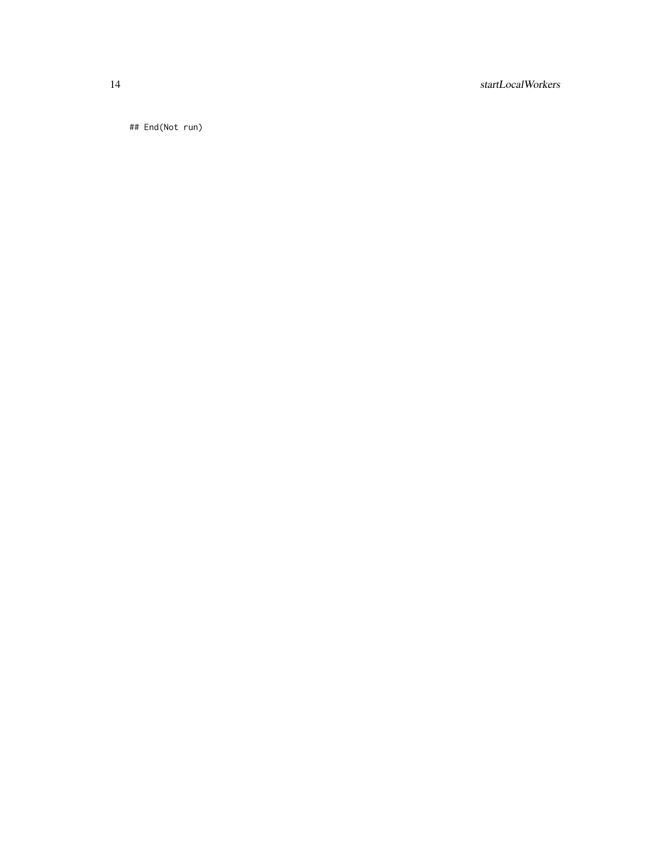## 14 startLocalWorkers

## End(Not run)